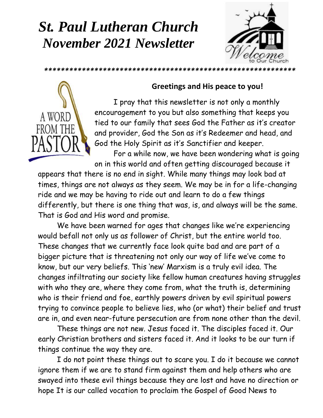## *St. Paul Lutheran Church November 2021 Newsletter*





### **Greetings and His peace to you!**

I pray that this newsletter is not only a monthly encouragement to you but also something that keeps you tied to our family that sees God the Father as it's creator and provider, God the Son as it's Redeemer and head, and God the Holy Spirit as it's Sanctifier and keeper.

For a while now, we have been wondering what is going on in this world and often getting discouraged because it

appears that there is no end in sight. While many things may look bad at times, things are not always as they seem. We may be in for a life-changing ride and we may be having to ride out and learn to do a few things differently, but there is one thing that was, is, and always will be the same. That is God and His word and promise.

We have been warned for ages that changes like we're experiencing would befall not only us as follower of Christ, but the entire world too. These changes that we currently face look quite bad and are part of a bigger picture that is threatening not only our way of life we've come to know, but our very beliefs. This 'new' Marxism is a truly evil idea. The changes infiltrating our society like fellow human creatures having struggles with who they are, where they come from, what the truth is, determining who is their friend and foe, earthly powers driven by evil spiritual powers trying to convince people to believe lies, who (or what) their belief and trust are in, and even near-future persecution are from none other than the devil.

These things are not new. Jesus faced it. The disciples faced it. Our early Christian brothers and sisters faced it. And it looks to be our turn if things continue the way they are.

I do not point these things out to scare you. I do it because we cannot ignore them if we are to stand firm against them and help others who are swayed into these evil things because they are lost and have no direction or hope It is our called vocation to proclaim the Gospel of Good News to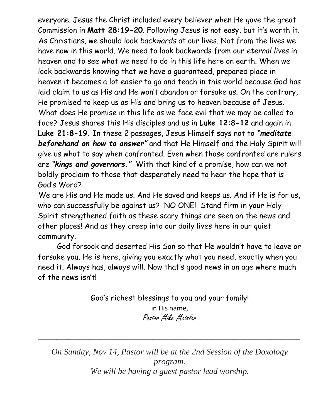everyone. Jesus the Christ included every believer when He gave the great Commission in **Matt 28:19-20**. Following Jesus is not easy, but it's worth it. As Christians, we should look *backwards* at our lives. Not from the lives we have now in this world. We need to look backwards from our *eternal lives* in heaven and to see what we need to do in this life here on earth. When we look backwards knowing that we have a guaranteed, prepared place in heaven it becomes a lot easier to go and teach in this world because God has laid claim to us as His and He won't abandon or forsake us. On the contrary, He promised to keep us as His and bring us to heaven because of Jesus. What does He promise in this life as we face evil that we may be called to face? Jesus shares this His disciples and us in **Luke 12:8-12** and again in **Luke 21:8-19**. In these 2 passages, Jesus Himself says not to *"meditate beforehand on how to answer"* and that He Himself and the Holy Spirit will give us what to say when confronted. Even when those confronted are rulers are *"kings and governors."* With that kind of a promise, how can we not boldly proclaim to those that desperately need to hear the hope that is God's Word?

We are His and He made us. And He saved and keeps us. And if He is for us, who can successfully be against us? NO ONE! Stand firm in your Holy Spirit strengthened faith as these scary things are seen on the news and other places! And as they creep into our daily lives here in our quiet community.

God forsook and deserted His Son so that He wouldn't have to leave or forsake you. He is here, giving you exactly what you need, exactly when you need it. Always has, always will. Now that's good news in an age where much of the news isn't!

> God's richest blessings to you and your family! in His name, Pastor Mike Metzler

*On Sunday, Nov 14, Pastor will be at the 2nd Session of the Doxology program. We will be having a guest pastor lead worship.*

\_\_\_\_\_\_\_\_\_\_\_\_\_\_\_\_\_\_\_\_\_\_\_\_\_\_\_\_\_\_\_\_\_\_\_\_\_\_\_\_\_\_\_\_\_\_\_\_\_\_\_\_\_\_\_\_\_\_\_\_\_\_\_\_\_\_\_\_\_\_\_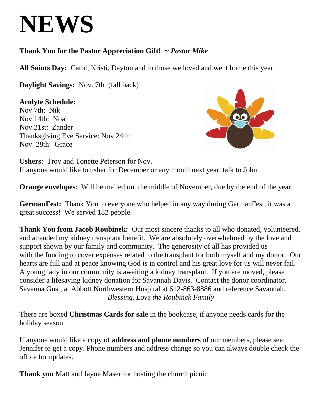# **NEWS**

### **Thank You for the Pastor Appreciation Gift!** *~ Pastor Mike*

**All Saints Day:** Carol, Kristi, Dayton and to those we loved and went home this year.

**Daylight Savings:** Nov. 7th (fall back)

 Nov 7th: Nik **Acolyte Schedule:**  Nov 14th: Noah Nov 21st: Zander Thanksgiving Eve Service: Nov 24th: Nov. 28th: Grace



**Ushers**: Troy and Tonette Peterson for Nov. If anyone would like to usher for December or any month next year, talk to John

**Orange envelopes**: Will be mailed out the middle of November, due by the end of the year.

**GermanFest:** Thank You to everyone who helped in any way during GermanFest, it was a great success! We served 182 people.

**Thank You from Jacob Roubinek:** Our most sincere thanks to all who donated, volunteered, and attended my kidney transplant benefit. We are absolutely overwhelmed by the love and support shown by our family and community. The generosity of all has provided us with the funding to cover expenses related to the transplant for both myself and my donor. Our hearts are full and at peace knowing God is in control and his great love for us will never fail. A young lady in our community is awaiting a kidney transplant. If you are moved, please consider a lifesaving kidney donation for Savannah Davis. Contact the donor coordinator, Savanna Gust, at Abbott Northwestern Hospital at 612-863-8886 and reference Savannah. *Blessing, Love the Roubinek Family*

There are boxed **Christmas Cards for sale** in the bookcase, if anyone needs cards for the holiday season.

If anyone would like a copy of **address and phone numbers** of our members, please see Jennifer to get a copy. Phone numbers and address change so you can always double check the office for updates.

**Thank you** Matt and Jayne Maser for hosting the church picnic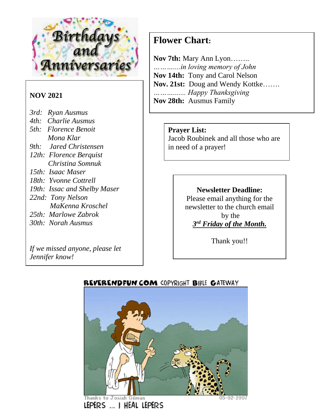

### **NOV 2021**

- *3rd: Ryan Ausmus*
- *4th: Charlie Ausmus*
- *5th: Florence Benoit Mona Klar*
- *9th: Jared Christensen*
- *12th: Florence Berquist Christina Somnuk*
- *15th: Isaac Maser*
- *18th: Yvonne Cottrell*
- *19th: Issac and Shelby Maser*
- *22nd: Tony Nelson*
	- *MaKenna Kroschel*
- *25th: Marlowe Zabrok*
- *30th: Norah Ausmus*

*If we missed anyone, please let Jennifer know!*

### **Flower Chart:**

**Nov 7th:** Mary Ann Lyon…….. *………....in loving memory of John* **Nov 14th:** Tony and Carol Nelson **Nov. 21st:** Doug and Wendy Kottke……. *………....... Happy Thanksgiving* **Nov 28th:** Ausmus Family

#### **Prayer List:**

Jacob Roubinek and all those who are in need of a prayer!

### **Newsletter Deadline:**

Please email anything for the newsletter to the church email by the *3 rd Friday of the Month.*

Thank you!!



### REVERENDFUN.COM COPYRIGHT BIBLE GATEWAY

LEPERS ... I HEAL LEPERS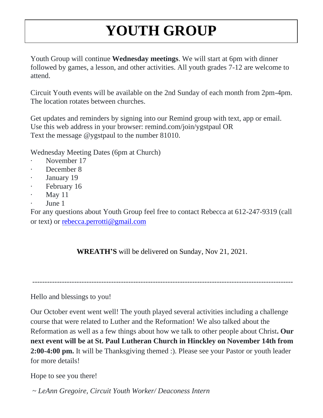## **YOUTH GROUP**

Youth Group will continue **Wednesday meetings**. We will start at 6pm with dinner followed by games, a lesson, and other activities. All youth grades 7-12 are welcome to attend.

Circuit Youth events will be available on the 2nd Sunday of each month from 2pm-4pm. The location rotates between churches.

Get updates and reminders by signing into our Remind group with text, app or email. Use this web address in your browser: remind.com/join/ygstpaul OR Text the message @ygstpaul to the number 81010.

Wednesday Meeting Dates (6pm at Church)

- November 17
- December 8
- January 19
- February 16
- May  $11$
- June 1

For any questions about Youth Group feel free to contact Rebecca at 612-247-9319 (call or text) or [rebecca.perrotti@gmail.com](mailto:rebecca.perrotti@gmail.com)

**WREATH'S** will be delivered on Sunday, Nov 21, 2021.

----------------------------------------------------------------------------------------------------------

Hello and blessings to you!

Our October event went well! The youth played several activities including a challenge course that were related to Luther and the Reformation! We also talked about the Reformation as well as a few things about how we talk to other people about Christ**. Our next event will be at St. Paul Lutheran Church in Hinckley on November 14th from 2:00-4:00 pm.** It will be Thanksgiving themed :). Please see your Pastor or youth leader for more details!

Hope to see you there!

*~ LeAnn Gregoire, Circuit Youth Worker/ Deaconess Intern*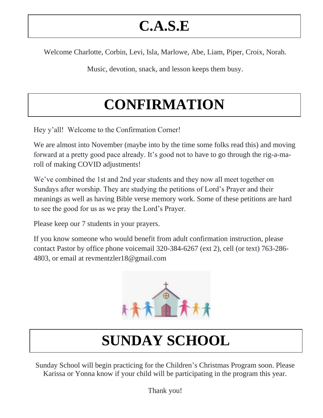## **C.A.S.E**

Welcome Charlotte, Corbin, Levi, Isla, Marlowe, Abe, Liam, Piper, Croix, Norah.

Music, devotion, snack, and lesson keeps them busy.

## **CONFIRMATION**

Hey y'all! Welcome to the Confirmation Corner!

We are almost into November (maybe into by the time some folks read this) and moving forward at a pretty good pace already. It's good not to have to go through the rig-a-maroll of making COVID adjustments!

We've combined the 1st and 2nd year students and they now all meet together on Sundays after worship. They are studying the petitions of Lord's Prayer and their meanings as well as having Bible verse memory work. Some of these petitions are hard to see the good for us as we pray the Lord's Prayer.

Please keep our 7 students in your prayers.

If you know someone who would benefit from adult confirmation instruction, please contact Pastor by office phone voicemail 320-384-6267 (ext 2), cell (or text) 763-286- 4803, or email at revmentzler18@gmail.com



## **SUNDAY SCHOOL**

Sunday School will begin practicing for the Children's Christmas Program soon. Please Karissa or Yonna know if your child will be participating in the program this year.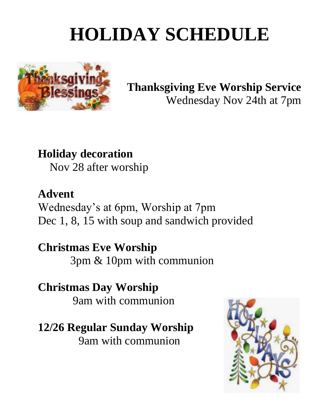# **HOLIDAY SCHEDULE**



### **Thanksgiving Eve Worship Service** Wednesday Nov 24th at 7pm

## **Holiday decoration**

Nov 28 after worship

### **Advent** Wednesday's at 6pm, Worship at 7pm Dec 1, 8, 15 with soup and sandwich provided

### **Christmas Eve Worship**  3pm & 10pm with communion

### **Christmas Day Worship**  9am with communion

### **12/26 Regular Sunday Worship**

9am with communion

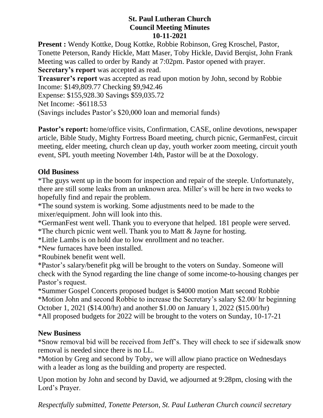#### **St. Paul Lutheran Church Council Meeting Minutes 10-11-2021**

**Present :** Wendy Kottke, Doug Kottke, Robbie Robinson, Greg Kroschel, Pastor, Tonette Peterson, Randy Hickle, Matt Maser, Toby Hickle, David Berqist, John Frank Meeting was called to order by Randy at 7:02pm. Pastor opened with prayer. **Secretary's report** was accepted as read.

**Treasurer's report** was accepted as read upon motion by John, second by Robbie Income: \$149,809.77 Checking \$9,942.46

Expense: \$155,928.30 Savings \$59,035.72

Net Income: -\$6118.53

(Savings includes Pastor's \$20,000 loan and memorial funds)

**Pastor's report:** home/office visits, Confirmation, CASE, online devotions, newspaper article, Bible Study, Mighty Fortress Board meeting, church picnic, GermanFest, circuit meeting, elder meeting, church clean up day, youth worker zoom meeting, circuit youth event, SPL youth meeting November 14th, Pastor will be at the Doxology.

### **Old Business**

\*The guys went up in the boom for inspection and repair of the steeple. Unfortunately, there are still some leaks from an unknown area. Miller's will be here in two weeks to hopefully find and repair the problem.

\*The sound system is working. Some adjustments need to be made to the mixer/equipment. John will look into this.

\*GermanFest went well. Thank you to everyone that helped. 181 people were served. \*The church picnic went well. Thank you to Matt & Jayne for hosting.

\*Little Lambs is on hold due to low enrollment and no teacher.

\*New furnaces have been installed.

\*Roubinek benefit went well.

\*Pastor's salary/benefit pkg will be brought to the voters on Sunday. Someone will check with the Synod regarding the line change of some income-to-housing changes per Pastor's request.

\*Summer Gospel Concerts proposed budget is \$4000 motion Matt second Robbie \*Motion John and second Robbie to increase the Secretary's salary \$2.00/ hr beginning October 1, 2021 (\$14.00/hr) and another \$1.00 on January 1, 2022 (\$15.00/hr) \*All proposed budgets for 2022 will be brought to the voters on Sunday, 10-17-21

### **New Business**

\*Snow removal bid will be received from Jeff's. They will check to see if sidewalk snow removal is needed since there is no LL.

\*Motion by Greg and second by Toby, we will allow piano practice on Wednesdays with a leader as long as the building and property are respected.

Upon motion by John and second by David, we adjourned at 9:28pm, closing with the Lord's Prayer.

*Respectfully submitted, Tonette Peterson, St. Paul Lutheran Church council secretary*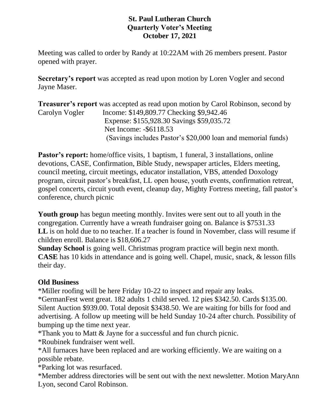#### **St. Paul Lutheran Church Quarterly Voter's Meeting October 17, 2021**

Meeting was called to order by Randy at 10:22AM with 26 members present. Pastor opened with prayer.

**Secretary's report** was accepted as read upon motion by Loren Vogler and second Jayne Maser.

**Treasurer's report** was accepted as read upon motion by Carol Robinson, second by Carolyn Vogler Income: \$149,809.77 Checking \$9,942.46 Expense: \$155,928.30 Savings \$59,035.72 Net Income: -\$6118.53 (Savings includes Pastor's \$20,000 loan and memorial funds)

**Pastor's report:** home/office visits, 1 baptism, 1 funeral, 3 installations, online devotions, CASE, Confirmation, Bible Study, newspaper articles, Elders meeting, council meeting, circuit meetings, educator installation, VBS, attended Doxology program, circuit pastor's breakfast, LL open house, youth events, confirmation retreat, gospel concerts, circuit youth event, cleanup day, Mighty Fortress meeting, fall pastor's conference, church picnic

**Youth group** has begun meeting monthly. Invites were sent out to all youth in the congregation. Currently have a wreath fundraiser going on. Balance is \$7531.33 LL is on hold due to no teacher. If a teacher is found in November, class will resume if children enroll. Balance is \$18,606.27

**Sunday School** is going well. Christmas program practice will begin next month. **CASE** has 10 kids in attendance and is going well. Chapel, music, snack, & lesson fills their day.

### **Old Business**

\*Miller roofing will be here Friday 10-22 to inspect and repair any leaks. \*GermanFest went great. 182 adults 1 child served. 12 pies \$342.50. Cards \$135.00. Silent Auction \$939.00. Total deposit \$3438.50. We are waiting for bills for food and advertising. A follow up meeting will be held Sunday 10-24 after church. Possibility of bumping up the time next year.

\*Thank you to Matt & Jayne for a successful and fun church picnic.

\*Roubinek fundraiser went well.

\*All furnaces have been replaced and are working efficiently. We are waiting on a possible rebate.

\*Parking lot was resurfaced.

\*Member address directories will be sent out with the next newsletter. Motion MaryAnn Lyon, second Carol Robinson.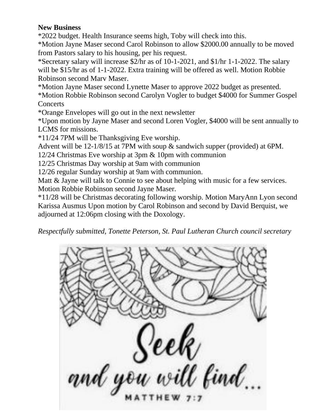#### **New Business**

\*2022 budget. Health Insurance seems high, Toby will check into this.

\*Motion Jayne Maser second Carol Robinson to allow \$2000.00 annually to be moved from Pastors salary to his housing, per his request.

\*Secretary salary will increase \$2/hr as of 10-1-2021, and \$1/hr 1-1-2022. The salary will be \$15/hr as of 1-1-2022. Extra training will be offered as well. Motion Robbie Robinson second Marv Maser.

\*Motion Jayne Maser second Lynette Maser to approve 2022 budget as presented.

\*Motion Robbie Robinson second Carolyn Vogler to budget \$4000 for Summer Gospel **Concerts** 

\*Orange Envelopes will go out in the next newsletter

\*Upon motion by Jayne Maser and second Loren Vogler, \$4000 will be sent annually to LCMS for missions.

\*11/24 7PM will be Thanksgiving Eve worship.

Advent will be 12-1/8/15 at 7PM with soup & sandwich supper (provided) at 6PM.

12/24 Christmas Eve worship at 3pm & 10pm with communion

12/25 Christmas Day worship at 9am with communion

12/26 regular Sunday worship at 9am with communion.

Matt & Jayne will talk to Connie to see about helping with music for a few services. Motion Robbie Robinson second Jayne Maser.

\*11/28 will be Christmas decorating following worship. Motion MaryAnn Lyon second Karissa Ausmus Upon motion by Carol Robinson and second by David Berquist, we adjourned at 12:06pm closing with the Doxology.

*Respectfully submitted, Tonette Peterson, St. Paul Lutheran Church council secretary*

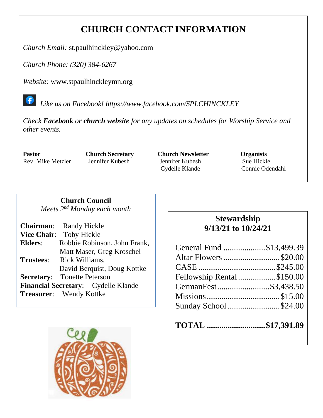### **CHURCH CONTACT INFORMATION**

*Church Email:* [st.paulhinckley@yahoo.com](mailto:st.paulhinckley@yahoo.com)

*Church Phone: (320) 384-6267*

*Website:* [www.stpaulhinckleymn.org](http://www.stpaulhinckleymn.org/)

 *Like us on Facebook!<https://www.facebook.com/SPLCHINCKLEY>*

*Check Facebook or church website for any updates on schedules for Worship Service and other events.* 

**Pastor Church Secretary Church Newsletter Organists** Rev. Mike Metzler Jennifer Kubesh Jennifer Kubesh Sue Hickle Cydelle Klande Connie Odendahl

#### **Church Council**

*Meets 2nd Monday each month*

|                  | <b>Chairman:</b> Randy Hickle       |
|------------------|-------------------------------------|
|                  | Vice Chair: Toby Hickle             |
| Elders:          | Robbie Robinson, John Frank,        |
|                  | Matt Maser, Greg Kroschel           |
| <b>Trustees:</b> | Rick Williams,                      |
|                  | David Berquist, Doug Kottke         |
|                  | <b>Secretary:</b> Tonette Peterson  |
|                  | Financial Secretary: Cydelle Klande |
|                  | <b>Treasurer:</b> Wendy Kottke      |
|                  |                                     |

### **Stewardship 9/13/21 to 10/24/21**

| General Fund \$13,499.39   |  |
|----------------------------|--|
| Altar Flowers \$20.00      |  |
|                            |  |
| Fellowship Rental \$150.00 |  |
| GermanFest\$3,438.50       |  |
|                            |  |
| Sunday School \$24.00      |  |
|                            |  |

| TOTAL \$17,391.89 |  |  |  |
|-------------------|--|--|--|
|-------------------|--|--|--|

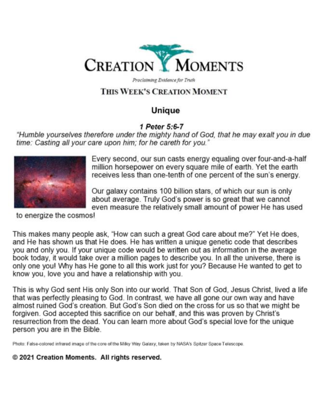

Proclaiming Evidence for Truth

### THIS WEEK'S CREATION MOMENT

### Unique

#### 1 Peter 5:6-7

"Humble yourselves therefore under the mighty hand of God, that he may exalt you in due time: Casting all your care upon him; for he careth for you."



Every second, our sun casts energy equaling over four-and-a-half million horsepower on every square mile of earth. Yet the earth receives less than one-tenth of one percent of the sun's energy.

Our galaxy contains 100 billion stars, of which our sun is only about average. Truly God's power is so great that we cannot even measure the relatively small amount of power He has used

to energize the cosmos!

This makes many people ask, "How can such a great God care about me?" Yet He does, and He has shown us that He does. He has written a unique genetic code that describes you and only you. If your unique code would be written out as information in the average book today, it would take over a million pages to describe you. In all the universe, there is only one you! Why has He gone to all this work just for you? Because He wanted to get to know you, love you and have a relationship with you.

This is why God sent His only Son into our world. That Son of God, Jesus Christ, lived a life that was perfectly pleasing to God. In contrast, we have all gone our own way and have almost ruined God's creation. But God's Son died on the cross for us so that we might be forgiven. God accepted this sacrifice on our behalf, and this was proven by Christ's resurrection from the dead. You can learn more about God's special love for the unique person you are in the Bible.

Photo: False-colored infrared image of the core of the Milky Way Galaxy, taken by NASA's Spitzer Space Telescope.

© 2021 Creation Moments. All rights reserved.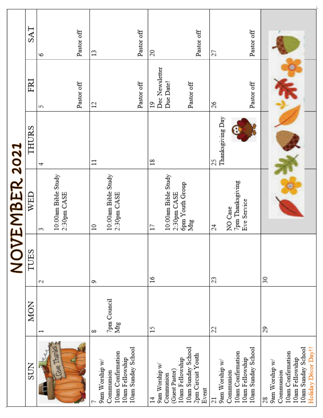|                                       |                          |        | <b>NOVEMBER 2021</b>               |                  |                      |            |
|---------------------------------------|--------------------------|--------|------------------------------------|------------------|----------------------|------------|
| <b>SUN</b>                            | <b>MON</b>               | TUES   | WED                                | THURS            | FRI                  | SAT        |
|                                       | $\overline{\phantom{0}}$ | 2      | 3                                  | ᆉ                | S                    | ò          |
| Thanks<br><b>SHE</b>                  |                          |        | 10:00am Bible Study<br>2:30pm CASE |                  |                      |            |
|                                       |                          |        |                                    |                  | Pastor off           | Pastor off |
| 9am Worship w/                        | 8                        | G      | $\Xi$                              | $\Xi$            | 12                   | 13         |
| 10am Confirmation<br>Communion        | 7pm Council<br>Mtg       |        | 10:00am Bible Study<br>2:30pm CASE |                  |                      |            |
| 10am Sunday School<br>10am Fellowship |                          |        |                                    |                  |                      |            |
|                                       |                          |        |                                    |                  | Pastor off           | Pastor off |
| 9am Worship w/<br>$\sharp$            | $^{15}$                  | $^{5}$ | $\Box$                             | $\frac{8}{18}$   | Dec Newsletter<br>19 | 20         |
| Communion                             |                          |        | 10:00am Bible Study                |                  | Due Date!            |            |
| 10am Fellowship<br>(Guest Pastor)     |                          |        | opm Youth Group<br>2:30pm CASE     |                  |                      |            |
| 10am Sunday School                    |                          |        | Mtg                                |                  | Pastor off           |            |
| 2pm Circuit Youth<br>Event            |                          |        |                                    |                  |                      | Pastor off |
| 21                                    | 22                       | 23     | 24                                 | 25               | 26                   | 27         |
| 9am Worship w/                        |                          |        |                                    | Thanksgiving Day |                      |            |
| 10am Confirmation<br>Communion        |                          |        | 7pm Thanksgiving<br>NO Case        |                  |                      |            |
| 10am Sunday School<br>10am Fellowship |                          |        | Eve Service                        |                  | Pastor off           | Pastor off |
| 28                                    | 29                       | 30     |                                    |                  |                      |            |
| 9am Worship w/                        |                          |        |                                    |                  |                      |            |
| 10am Confirmation<br>Communion        |                          |        |                                    |                  |                      |            |
| 10am Sunday School<br>10am Fellowship |                          |        |                                    |                  |                      |            |
| Holiday Décor Day!!                   |                          |        |                                    |                  |                      |            |